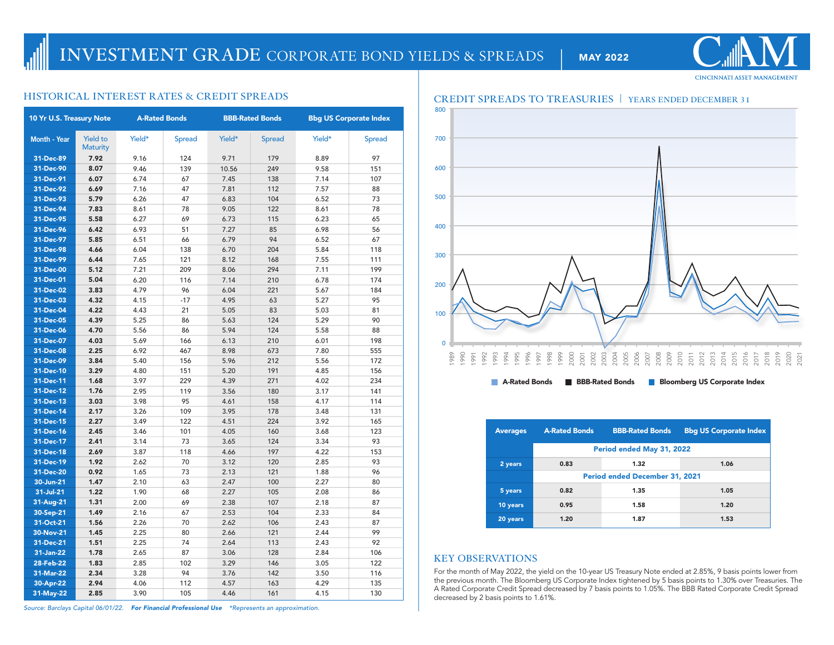# **INVESTMENT GRADE** CORPORATE BOND YIELDS & SPREADS | MAY 2022

| 10 Yr U.S. Treasury Note |                                    | <b>A-Rated Bonds</b> |               |              | <b>BBB-Rated Bonds</b> | <b>Bbg US Corporate Index</b> |               |  |
|--------------------------|------------------------------------|----------------------|---------------|--------------|------------------------|-------------------------------|---------------|--|
| <b>Month - Year</b>      | <b>Yield to</b><br><b>Maturity</b> | Yield*               | <b>Spread</b> | Yield*       | <b>Spread</b>          | Yield*                        | <b>Spread</b> |  |
| 31-Dec-89                | 7.92                               | 9.16                 | 124           | 9.71         | 179                    | 8.89                          | 97            |  |
| 31-Dec-90                | 8.07                               | 9.46                 | 139           | 10.56        | 249                    | 9.58                          | 151           |  |
| 31-Dec-91                | 6.07                               | 6.74                 | 67            | 7.45         | 138                    | 7.14                          | 107           |  |
| 31-Dec-92                | 6.69                               | 7.16                 | 47            | 7.81         | 112                    | 7.57                          | 88            |  |
| 31-Dec-93                | 5.79                               | 6.26                 | 47            | 6.83         | 104                    | 6.52                          | 73            |  |
| 31-Dec-94                | 7.83                               | 8.61                 | 78            | 9.05         | 122                    | 8.61                          | 78            |  |
| 31-Dec-95                | 5.58                               | 6.27                 | 69            | 6.73         | 115                    | 6.23                          | 65            |  |
| 31-Dec-96                | 6.42                               | 6.93                 | 51            | 7.27         | 85                     | 6.98                          | 56            |  |
| 31-Dec-97                | 5.85                               | 6.51                 | 66            | 6.79         | 94                     | 6.52                          | 67            |  |
| 31-Dec-98                | 4.66                               | 6.04                 | 138           | 6.70         | 204                    | 5.84                          | 118           |  |
| 31-Dec-99                | 6.44                               | 7.65                 | 121           | 8.12         | 168                    | 7.55                          | 111           |  |
| 31-Dec-00                | 5.12                               | 7.21                 | 209           | 8.06         | 294                    | 7.11                          | 199           |  |
| 31-Dec-01                | 5.04                               | 6.20                 | 116           | 7.14         | 210                    | 6.78                          | 174           |  |
| 31-Dec-02                | 3.83                               | 4.79                 | 96            | 6.04         | 221                    | 5.67                          | 184           |  |
| 31-Dec-03                | 4.32                               | 4.15                 | $-17$         | 4.95         | 63                     | 5.27                          | 95            |  |
| 31-Dec-04                | 4.22                               | 4.43                 | 21            | 5.05         | 83                     | 5.03                          | 81            |  |
| 31-Dec-05                | 4.39                               | 5.25                 | 86            | 5.63         | 124                    | 5.29                          | 90            |  |
| 31-Dec-06                | 4.70                               | 5.56                 | 86            | 5.94         | 124                    | 5.58                          | 88            |  |
| 31-Dec-07                | 4.03                               | 5.69                 | 166           | 6.13         | 210                    | 6.01                          | 198           |  |
| 31-Dec-08                | 2.25                               | 6.92                 | 467           | 8.98         | 673                    | 7.80                          | 555           |  |
| 31-Dec-09                | 3.84                               | 5.40                 | 156           | 5.96         | 212                    | 5.56                          | 172           |  |
| 31-Dec-10                | 3.29                               | 4.80                 | 151           | 5.20         | 191                    | 4.85                          | 156           |  |
| 31-Dec-11                | 1.68                               | 3.97                 | 229           | 4.39         | 271                    | 4.02                          | 234           |  |
| 31-Dec-12                | 1.76                               | 2.95                 | 119           | 3.56         | 180                    | 3.17                          | 141           |  |
| 31-Dec-13                | 3.03                               | 3.98                 | 95            | 4.61         | 158                    | 4.17                          | 114           |  |
| 31-Dec-14                | 2.17                               | 3.26                 | 109           | 3.95         | 178                    | 3.48                          | 131           |  |
| 31-Dec-15                | 2.27                               | 3.49                 | 122           | 4.51         | 224                    | 3.92                          | 165           |  |
| 31-Dec-16                | 2.45                               | 3.46                 | 101           | 4.05         | 160                    | 3.68                          | 123           |  |
| 31-Dec-17                | 2.41                               | 3.14                 | 73            | 3.65         | 124                    | 3.34                          | 93            |  |
| 31-Dec-18                | 2.69                               | 3.87                 | 118           | 4.66         | 197                    | 4.22                          | 153           |  |
| 31-Dec-19                | 1.92                               | 2.62                 | 70            | 3.12         | 120                    | 2.85                          | 93            |  |
| 31-Dec-20                | 0.92                               | 1.65                 | 73            | 2.13         | 121                    | 1.88                          | 96            |  |
| 30-Jun-21                | 1.47                               | 2.10                 | 63            | 2.47         | 100                    | 2.27                          | 80            |  |
| 31-Jul-21                | 1.22                               | 1.90                 | 68            | 2.27         | 105                    | 2.08                          | 86            |  |
| 31-Aug-21                | 1.31                               | 2.00                 | 69            | 2.38         | 107                    | 2.18                          | 87            |  |
| 30-Sep-21                | 1.49                               | 2.16                 | 67            | 2.53         | 104                    | 2.33                          | 84            |  |
| 31-Oct-21                | 1.56                               | 2.26<br>2.25         | 70<br>80      | 2.62<br>2.66 | 106<br>121             | 2.43<br>2.44                  | 87<br>99      |  |
| 30-Nov-21<br>31-Dec-21   | 1.45<br>1.51                       | 2.25                 | 74            | 2.64         | 113                    | 2.43                          | 92            |  |
| 31-Jan-22                | 1.78                               | 2.65                 | 87            | 3.06         | 128                    | 2.84                          | 106           |  |
| 28-Feb-22                | 1.83                               | 2.85                 | 102           | 3.29         | 146                    | 3.05                          | 122           |  |
| 31-Mar-22                | 2.34                               | 3.28                 | 94            | 3.76         | 142                    | 3.50                          | 116           |  |
| 30-Apr-22                | 2.94                               | 4.06                 | 112           | 4.57         | 163                    | 4.29                          | 135           |  |
| 31-May-22                | 2.85                               | 3.90                 | 105           | 4.46         | 161                    | 4.15                          | 130           |  |
|                          |                                    |                      |               |              |                        |                               |               |  |



| <b>Averages</b> | <b>A-Rated Bonds</b>                  | <b>BBB-Rated Bonds</b> | <b>Bbg US Corporate Index</b> |  |  |  |  |  |  |
|-----------------|---------------------------------------|------------------------|-------------------------------|--|--|--|--|--|--|
|                 | Period ended May 31, 2022             |                        |                               |  |  |  |  |  |  |
| 2 years         | 0.83                                  | 1.32                   | 1.06                          |  |  |  |  |  |  |
|                 | <b>Period ended December 31, 2021</b> |                        |                               |  |  |  |  |  |  |
| 5 years         | 0.82                                  | 1.35                   | 1.05                          |  |  |  |  |  |  |
| 10 years        | 0.95                                  | 1.58                   | 1.20                          |  |  |  |  |  |  |
| 20 years        | 1.20                                  | 1.87                   | 1.53                          |  |  |  |  |  |  |

## **KEY OBSERVATIONS**

For the month of May 2022, the yield on the 10-year US Treasury Note ended at 2.85%, 9 basis points lower from the previous month. The Bloomberg US Corporate Index tightened by 5 basis points to 1.30% over Treasuries. The A Rated Corporate Credit Spread decreased by 7 basis points to 1.05%. The BBB Rated Corporate Credit Spread decreased by 2 basis points to 1.61%.